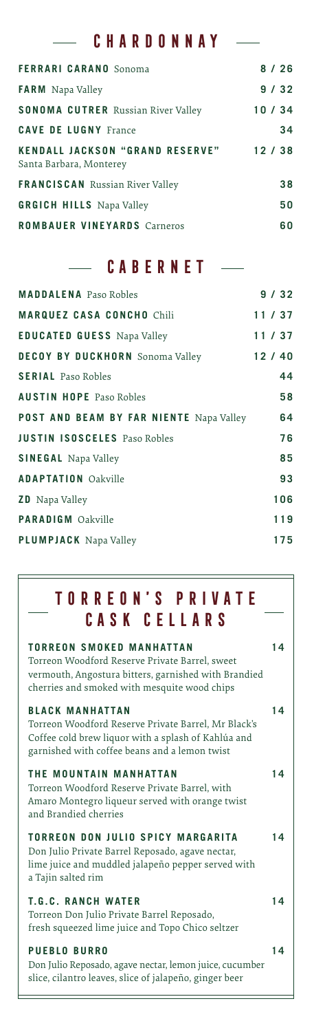### **CHARDONNAY**

J.

| <b>FERRARI CARANO</b> Sonoma                                      | 8/26  |
|-------------------------------------------------------------------|-------|
| <b>FARM</b> Napa Valley                                           | 9/32  |
| <b>SONOMA CUTRER</b> Russian River Valley                         | 10/34 |
| <b>CAVE DE LUGNY France</b>                                       | 34    |
| <b>KENDALL JACKSON "GRAND RESERVE"</b><br>Santa Barbara, Monterey | 12/38 |
| <b>FRANCISCAN</b> Russian River Valley                            | 38    |
| <b>GRGICH HILLS</b> Napa Valley                                   | 50    |
| <b>ROMBAUER VINEYARDS Carneros</b>                                | 60    |

## **CABERNET**

| <b>MADDALENA</b> Paso Robles            | 9/32  |
|-----------------------------------------|-------|
| <b>MARQUEZ CASA CONCHO Chili</b>        | 11/37 |
| <b>EDUCATED GUESS Napa Valley</b>       | 11/37 |
| <b>DECOY BY DUCKHORN</b> Sonoma Valley  | 12/40 |
| <b>SERIAL</b> Paso Robles               | 44    |
| <b>AUSTIN HOPE</b> Paso Robles          | 58    |
| POST AND BEAM BY FAR NIENTE Napa Valley | 64    |
| <b>JUSTIN ISOSCELES</b> Paso Robles     | 76    |
| <b>SINEGAL</b> Napa Valley              | 85    |
| <b>ADAPTATION Oakville</b>              | 93    |
| <b>ZD</b> Napa Valley                   | 106   |
| <b>PARADIGM</b> Oakville                | 119   |
| <b>PLUMPJACK</b> Napa Valley            | 175   |
|                                         |       |

## **TORREON'S PRIVATE CASK CELLARS**

| <b>TORREON SMOKED MANHATTAN</b><br>Torreon Woodford Reserve Private Barrel, sweet<br>vermouth, Angostura bitters, garnished with Brandied<br>cherries and smoked with mesquite wood chips | 14 |
|-------------------------------------------------------------------------------------------------------------------------------------------------------------------------------------------|----|
| <b>BLACK MANHATTAN</b><br>Torreon Woodford Reserve Private Barrel, Mr Black's<br>Coffee cold brew liquor with a splash of Kahlúa and<br>garnished with coffee beans and a lemon twist     | 14 |
| THE MOUNTAIN MANHATTAN<br>Torreon Woodford Reserve Private Barrel, with<br>Amaro Montegro liqueur served with orange twist<br>and Brandied cherries                                       | 14 |
| TORREON DON JULIO SPICY MARGARITA<br>Don Julio Private Barrel Reposado, agave nectar,<br>lime juice and muddled jalapeño pepper served with<br>a Tajin salted rim                         | 14 |
| <b>T.G.C. RANCH WATER</b><br>Torreon Don Julio Private Barrel Reposado,<br>fresh squeezed lime juice and Topo Chico seltzer                                                               | 14 |
| <b>PUEBLO BURRO</b><br>Don Julio Reposado, agave nectar, lemon juice, cucumber<br>slice, cilantro leaves, slice of jalapeño, ginger beer                                                  | 14 |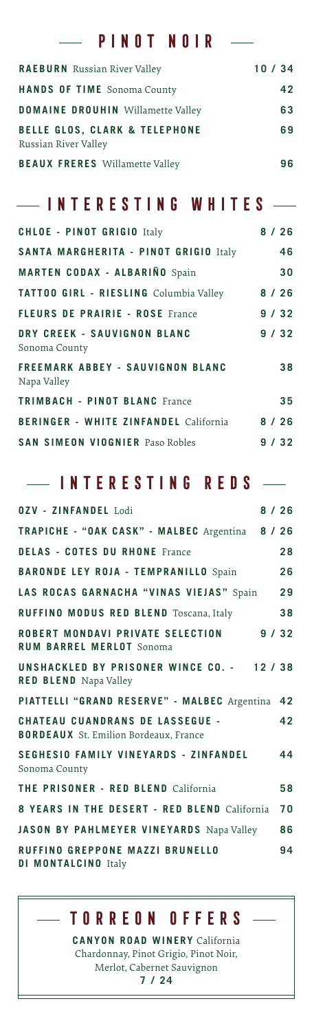### **PINOT NOIR**

L.

| <b>RAEBURN</b> Russian River Valley                              | 10/34 |
|------------------------------------------------------------------|-------|
| <b>HANDS OF TIME</b> Sonoma County                               | 42    |
| <b>DOMAINE DROUHIN</b> Willamette Valley                         | 63    |
| <b>BELLE GLOS, CLARK &amp; TELEPHONE</b><br>Russian River Valley | 69    |
| <b>BEAUX FRERES</b> Willamette Valley                            | 96    |

#### **INTERESTING WHITES**  $\overline{\phantom{0}}$

| <b>CHLOE - PINOT GRIGIO Italy</b>               |      | 8/26   |
|-------------------------------------------------|------|--------|
| SANTA MARGHERITA - PINOT GRIGIO Italy           |      | 46     |
| <b>MARTEN CODAX - ALBARIÑO</b> Spain            |      | 30     |
| TATTOO GIRL - RIESLING Columbia Valley          |      | $8/26$ |
| <b>FLEURS DE PRAIRIE - ROSE France</b>          |      | 9/32   |
| DRY CREEK - SAUVIGNON BLANC<br>Sonoma County    |      | 9/32   |
| FREEMARK ABBEY - SAUVIGNON BLANC<br>Napa Valley |      | 38     |
| <b>TRIMBACH - PINOT BLANC France</b>            |      | 35     |
| <b>BERINGER - WHITE ZINFANDEL California</b>    | 8/26 |        |
| <b>SAN SIMEON VIOGNIER Paso Robles</b>          |      | 9/32   |

#### **INTERESTING REDS**  $\overline{a}$

| <b>0ZV - ZINFANDEL</b> Lodi                                                            | 8/26 |
|----------------------------------------------------------------------------------------|------|
| TRAPICHE - "OAK CASK" - MALBEC Argentina 8 / 26                                        |      |
| <b>DELAS - COTES DU RHONE France</b>                                                   | 28   |
| <b>BARONDE LEY ROJA - TEMPRANILLO</b> Spain                                            | 26   |
| LAS ROCAS GARNACHA "VINAS VIEJAS" Spain                                                | 29   |
| <b>RUFFINO MODUS RED BLEND Toscana, Italy</b>                                          | 38   |
| ROBERT MONDAVI PRIVATE SELECTION 9/32<br><b>RUM BARREL MERLOT</b> Sonoma               |      |
| UNSHACKLED BY PRISONER WINCE CO. - 12 / 38<br><b>RED BLEND</b> Napa Valley             |      |
| PIATTELLI "GRAND RESERVE" - MALBEC Argentina 42                                        |      |
| <b>CHATEAU CUANDRANS DE LASSEGUE -</b><br><b>BORDEAUX</b> St. Emilion Bordeaux, France | 42   |
| <b>SEGHESIO FAMILY VINEYARDS - ZINFANDEL</b><br>Sonoma County                          | 44   |
| <b>THE PRISONER - RED BLEND California</b>                                             | 58   |
| 8 YEARS IN THE DESERT - RED BLEND California                                           | 70   |
| JASON BY PAHLMEYER VINEYARDS Napa Valley                                               | 86   |
| RUFFINO GREPPONE MAZZI BRUNELLO<br><b>DI MONTALCINO Italy</b>                          | 94   |

# **TORREON OFFERS**

**CANYON ROAD WINERY** California Chardonnay, Pinot Grigio, Pinot Noir, Merlot, Cabernet Sauvignon